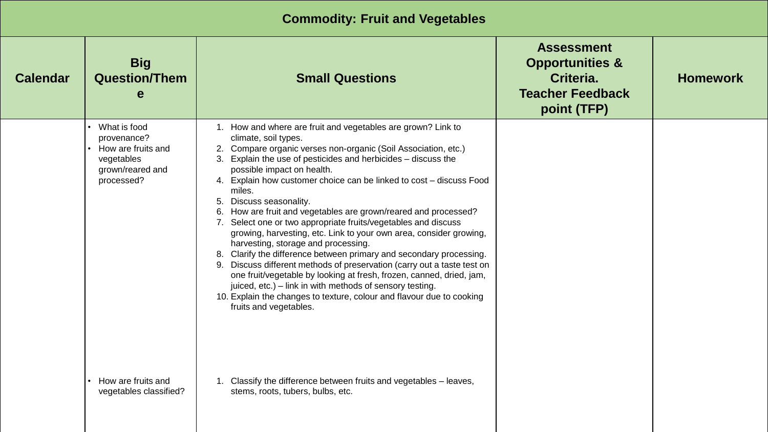## **Commodity: Fruit and Vegetables**

| <b>Calendar</b> | <b>Big</b><br><b>Question/Them</b><br>e                                                           | <b>Small Questions</b>                                                                                                                                                                                                                                                                                                                                                                                                                                                                                                                                                                                                                                                                                                                                                                                                                                                                                                                                                                                          | <b>Assessment</b><br><b>Opportunities &amp;</b><br>Criteria.<br><b>Teacher Feedback</b><br>point (TFP) | <b>Homework</b> |
|-----------------|---------------------------------------------------------------------------------------------------|-----------------------------------------------------------------------------------------------------------------------------------------------------------------------------------------------------------------------------------------------------------------------------------------------------------------------------------------------------------------------------------------------------------------------------------------------------------------------------------------------------------------------------------------------------------------------------------------------------------------------------------------------------------------------------------------------------------------------------------------------------------------------------------------------------------------------------------------------------------------------------------------------------------------------------------------------------------------------------------------------------------------|--------------------------------------------------------------------------------------------------------|-----------------|
|                 | What is food<br>provenance?<br>How are fruits and<br>vegetables<br>grown/reared and<br>processed? | 1. How and where are fruit and vegetables are grown? Link to<br>climate, soil types.<br>2. Compare organic verses non-organic (Soil Association, etc.)<br>3. Explain the use of pesticides and herbicides - discuss the<br>possible impact on health.<br>4. Explain how customer choice can be linked to cost - discuss Food<br>miles.<br>Discuss seasonality.<br>5.<br>6. How are fruit and vegetables are grown/reared and processed?<br>7. Select one or two appropriate fruits/vegetables and discuss<br>growing, harvesting, etc. Link to your own area, consider growing,<br>harvesting, storage and processing.<br>8. Clarify the difference between primary and secondary processing.<br>9. Discuss different methods of preservation (carry out a taste test on<br>one fruit/vegetable by looking at fresh, frozen, canned, dried, jam,<br>juiced, etc.) – link in with methods of sensory testing.<br>10. Explain the changes to texture, colour and flavour due to cooking<br>fruits and vegetables. |                                                                                                        |                 |
|                 | How are fruits and<br>vegetables classified?                                                      | 1. Classify the difference between fruits and vegetables - leaves,<br>stems, roots, tubers, bulbs, etc.                                                                                                                                                                                                                                                                                                                                                                                                                                                                                                                                                                                                                                                                                                                                                                                                                                                                                                         |                                                                                                        |                 |